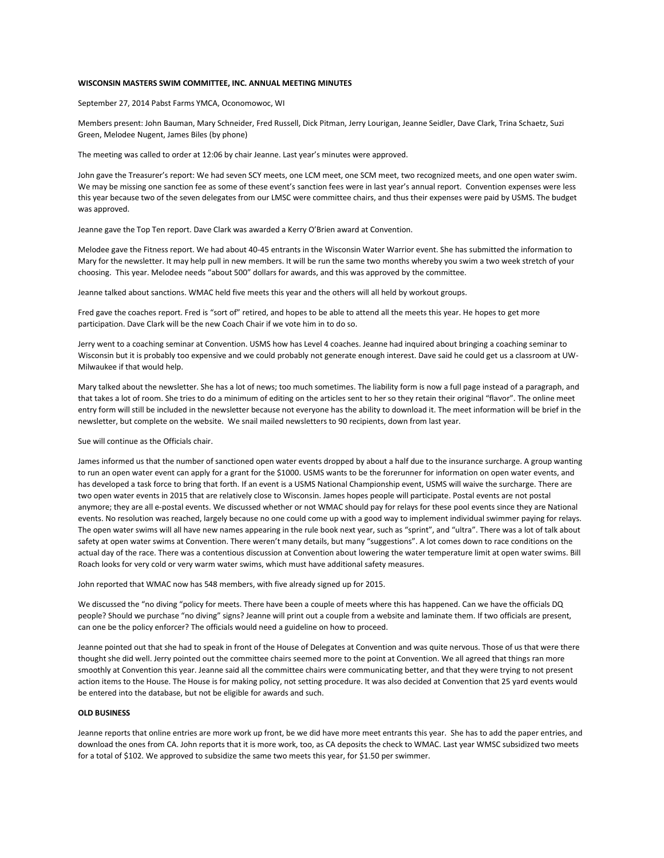## **WISCONSIN MASTERS SWIM COMMITTEE, INC. ANNUAL MEETING MINUTES**

September 27, 2014 Pabst Farms YMCA, Oconomowoc, WI

Members present: John Bauman, Mary Schneider, Fred Russell, Dick Pitman, Jerry Lourigan, Jeanne Seidler, Dave Clark, Trina Schaetz, Suzi Green, Melodee Nugent, James Biles (by phone)

The meeting was called to order at 12:06 by chair Jeanne. Last year's minutes were approved.

John gave the Treasurer's report: We had seven SCY meets, one LCM meet, one SCM meet, two recognized meets, and one open water swim. We may be missing one sanction fee as some of these event's sanction fees were in last year's annual report. Convention expenses were less this year because two of the seven delegates from our LMSC were committee chairs, and thus their expenses were paid by USMS. The budget was approved.

Jeanne gave the Top Ten report. Dave Clark was awarded a Kerry O'Brien award at Convention.

Melodee gave the Fitness report. We had about 40-45 entrants in the Wisconsin Water Warrior event. She has submitted the information to Mary for the newsletter. It may help pull in new members. It will be run the same two months whereby you swim a two week stretch of your choosing. This year. Melodee needs "about 500" dollars for awards, and this was approved by the committee.

Jeanne talked about sanctions. WMAC held five meets this year and the others will all held by workout groups.

Fred gave the coaches report. Fred is "sort of" retired, and hopes to be able to attend all the meets this year. He hopes to get more participation. Dave Clark will be the new Coach Chair if we vote him in to do so.

Jerry went to a coaching seminar at Convention. USMS how has Level 4 coaches. Jeanne had inquired about bringing a coaching seminar to Wisconsin but it is probably too expensive and we could probably not generate enough interest. Dave said he could get us a classroom at UW-Milwaukee if that would help.

Mary talked about the newsletter. She has a lot of news; too much sometimes. The liability form is now a full page instead of a paragraph, and that takes a lot of room. She tries to do a minimum of editing on the articles sent to her so they retain their original "flavor". The online meet entry form will still be included in the newsletter because not everyone has the ability to download it. The meet information will be brief in the newsletter, but complete on the website. We snail mailed newsletters to 90 recipients, down from last year.

Sue will continue as the Officials chair.

James informed us that the number of sanctioned open water events dropped by about a half due to the insurance surcharge. A group wanting to run an open water event can apply for a grant for the \$1000. USMS wants to be the forerunner for information on open water events, and has developed a task force to bring that forth. If an event is a USMS National Championship event, USMS will waive the surcharge. There are two open water events in 2015 that are relatively close to Wisconsin. James hopes people will participate. Postal events are not postal anymore; they are all e-postal events. We discussed whether or not WMAC should pay for relays for these pool events since they are National events. No resolution was reached, largely because no one could come up with a good way to implement individual swimmer paying for relays. The open water swims will all have new names appearing in the rule book next year, such as "sprint", and "ultra". There was a lot of talk about safety at open water swims at Convention. There weren't many details, but many "suggestions". A lot comes down to race conditions on the actual day of the race. There was a contentious discussion at Convention about lowering the water temperature limit at open water swims. Bill Roach looks for very cold or very warm water swims, which must have additional safety measures.

John reported that WMAC now has 548 members, with five already signed up for 2015.

We discussed the "no diving "policy for meets. There have been a couple of meets where this has happened. Can we have the officials DQ people? Should we purchase "no diving" signs? Jeanne will print out a couple from a website and laminate them. If two officials are present, can one be the policy enforcer? The officials would need a guideline on how to proceed.

Jeanne pointed out that she had to speak in front of the House of Delegates at Convention and was quite nervous. Those of us that were there thought she did well. Jerry pointed out the committee chairs seemed more to the point at Convention. We all agreed that things ran more smoothly at Convention this year. Jeanne said all the committee chairs were communicating better, and that they were trying to not present action items to the House. The House is for making policy, not setting procedure. It was also decided at Convention that 25 yard events would be entered into the database, but not be eligible for awards and such.

## **OLD BUSINESS**

Jeanne reports that online entries are more work up front, be we did have more meet entrants this year. She has to add the paper entries, and download the ones from CA. John reports that it is more work, too, as CA deposits the check to WMAC. Last year WMSC subsidized two meets for a total of \$102. We approved to subsidize the same two meets this year, for \$1.50 per swimmer.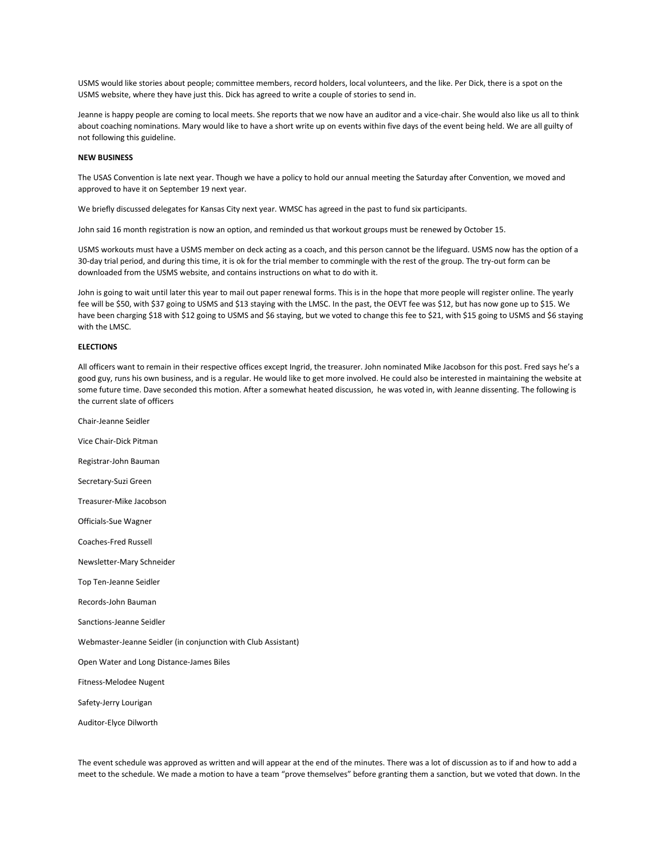USMS would like stories about people; committee members, record holders, local volunteers, and the like. Per Dick, there is a spot on the USMS website, where they have just this. Dick has agreed to write a couple of stories to send in.

Jeanne is happy people are coming to local meets. She reports that we now have an auditor and a vice-chair. She would also like us all to think about coaching nominations. Mary would like to have a short write up on events within five days of the event being held. We are all guilty of not following this guideline.

## **NEW BUSINESS**

The USAS Convention is late next year. Though we have a policy to hold our annual meeting the Saturday after Convention, we moved and approved to have it on September 19 next year.

We briefly discussed delegates for Kansas City next year. WMSC has agreed in the past to fund six participants.

John said 16 month registration is now an option, and reminded us that workout groups must be renewed by October 15.

USMS workouts must have a USMS member on deck acting as a coach, and this person cannot be the lifeguard. USMS now has the option of a 30-day trial period, and during this time, it is ok for the trial member to commingle with the rest of the group. The try-out form can be downloaded from the USMS website, and contains instructions on what to do with it.

John is going to wait until later this year to mail out paper renewal forms. This is in the hope that more people will register online. The yearly fee will be \$50, with \$37 going to USMS and \$13 staying with the LMSC. In the past, the OEVT fee was \$12, but has now gone up to \$15. We have been charging \$18 with \$12 going to USMS and \$6 staying, but we voted to change this fee to \$21, with \$15 going to USMS and \$6 staying with the LMSC.

## **ELECTIONS**

All officers want to remain in their respective offices except Ingrid, the treasurer. John nominated Mike Jacobson for this post. Fred says he's a good guy, runs his own business, and is a regular. He would like to get more involved. He could also be interested in maintaining the website at some future time. Dave seconded this motion. After a somewhat heated discussion, he was voted in, with Jeanne dissenting. The following is the current slate of officers

Chair-Jeanne Seidler Vice Chair-Dick Pitman Registrar-John Bauman Secretary-Suzi Green Treasurer-Mike Jacobson Officials-Sue Wagner Coaches-Fred Russell Newsletter-Mary Schneider Top Ten-Jeanne Seidler Records-John Bauman Sanctions-Jeanne Seidler Webmaster-Jeanne Seidler (in conjunction with Club Assistant) Open Water and Long Distance-James Biles Fitness-Melodee Nugent Safety-Jerry Lourigan Auditor-Elyce Dilworth

The event schedule was approved as written and will appear at the end of the minutes. There was a lot of discussion as to if and how to add a meet to the schedule. We made a motion to have a team "prove themselves" before granting them a sanction, but we voted that down. In the